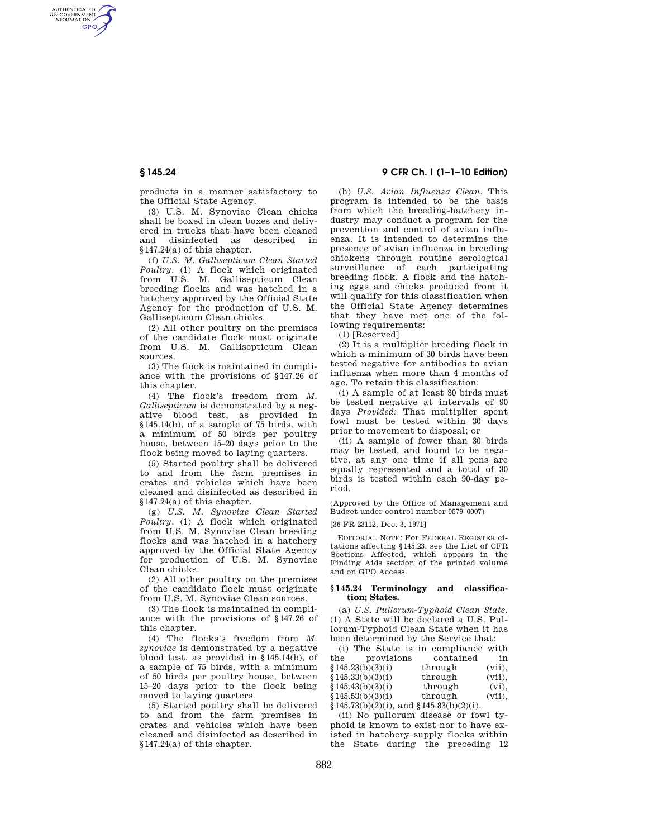AUTHENTICATED<br>U.S. GOVERNMENT<br>INFORMATION **GPO** 

**§ 145.24 9 CFR Ch. I (1–1–10 Edition)** 

products in a manner satisfactory to the Official State Agency.

(3) U.S. M. Synoviae Clean chicks shall be boxed in clean boxes and delivered in trucks that have been cleaned and disinfected as described in §147.24(a) of this chapter.

(f) *U.S. M. Gallisepticum Clean Started Poultry.* (1) A flock which originated from U.S. M. Gallisepticum Clean breeding flocks and was hatched in a hatchery approved by the Official State Agency for the production of U.S. M. Gallisepticum Clean chicks.

(2) All other poultry on the premises of the candidate flock must originate from U.S. M. Gallisepticum Clean sources.

(3) The flock is maintained in compliance with the provisions of §147.26 of this chapter.

(4) The flock's freedom from *M. Gallisepticum* is demonstrated by a negative blood test, as provided in §145.14(b), of a sample of 75 birds, with a minimum of 50 birds per poultry house, between 15–20 days prior to the flock being moved to laying quarters.

(5) Started poultry shall be delivered to and from the farm premises in crates and vehicles which have been cleaned and disinfected as described in §147.24(a) of this chapter.

(g) *U.S. M. Synoviae Clean Started Poultry.* (1) A flock which originated from U.S. M. Synoviae Clean breeding flocks and was hatched in a hatchery approved by the Official State Agency for production of U.S. M. Synoviae Clean chicks.

(2) All other poultry on the premises of the candidate flock must originate from U.S. M. Synoviae Clean sources.

(3) The flock is maintained in compliance with the provisions of §147.26 of this chapter.

(4) The flocks's freedom from *M. synoviae* is demonstrated by a negative blood test, as provided in §145.14(b), of a sample of 75 birds, with a minimum of 50 birds per poultry house, between 15–20 days prior to the flock being moved to laying quarters.

(5) Started poultry shall be delivered to and from the farm premises in crates and vehicles which have been cleaned and disinfected as described in §147.24(a) of this chapter.

(h) *U.S. Avian Influenza Clean.* This program is intended to be the basis from which the breeding-hatchery industry may conduct a program for the prevention and control of avian influenza. It is intended to determine the presence of avian influenza in breeding chickens through routine serological surveillance of each participating breeding flock. A flock and the hatching eggs and chicks produced from it will qualify for this classification when the Official State Agency determines that they have met one of the following requirements:

(1) [Reserved]

(2) It is a multiplier breeding flock in which a minimum of 30 birds have been tested negative for antibodies to avian influenza when more than 4 months of age. To retain this classification:

(i) A sample of at least 30 birds must be tested negative at intervals of 90 days *Provided:* That multiplier spent fowl must be tested within 30 days prior to movement to disposal; or

(ii) A sample of fewer than 30 birds may be tested, and found to be negative, at any one time if all pens are equally represented and a total of 30 birds is tested within each 90-day period.

(Approved by the Office of Management and Budget under control number 0579–0007)

[36 FR 23112, Dec. 3, 1971]

EDITORIAL NOTE: For FEDERAL REGISTER citations affecting §145.23, see the List of CFR Sections Affected, which appears in the Finding Aids section of the printed volume and on GPO Access.

# **§ 145.24 Terminology and classification; States.**

(a) *U.S. Pullorum-Typhoid Clean State.*  (1) A State will be declared a U.S. Pullorum-Typhoid Clean State when it has been determined by the Service that:

(i) The State is in compliance with the provisions contained in  $$145.23(b)(3)(i)$  through (vii),  $$145.33(b)(3)(i)$  through (vii),  $$145.43(b)(3)(i)$  through (vi), §145.53(b)(3)(i) through (vii), §145.73(b)(2)(i), and §145.83(b)(2)(i).

(ii) No pullorum disease or fowl typhoid is known to exist nor to have existed in hatchery supply flocks within the State during the preceding 12